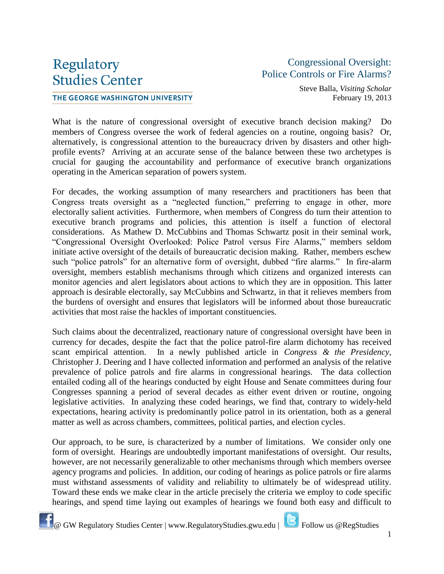## Regulatory **Studies Center**

## THE GEORGE WASHINGTON UNIVERSITY

## Congressional Oversight: Police Controls or Fire Alarms?

Steve Balla, *Visiting Scholar* February 19, 2013

What is the nature of congressional oversight of executive branch decision making? Do members of Congress oversee the work of federal agencies on a routine, ongoing basis? Or, alternatively, is congressional attention to the bureaucracy driven by disasters and other highprofile events? Arriving at an accurate sense of the balance between these two archetypes is crucial for gauging the accountability and performance of executive branch organizations operating in the American separation of powers system.

For decades, the working assumption of many researchers and practitioners has been that Congress treats oversight as a "neglected function," preferring to engage in other, more electorally salient activities. Furthermore, when members of Congress do turn their attention to executive branch programs and policies, this attention is itself a function of electoral considerations. As Mathew D. McCubbins and Thomas Schwartz posit in their seminal work, "Congressional Oversight Overlooked: Police Patrol versus Fire Alarms," members seldom initiate active oversight of the details of bureaucratic decision making. Rather, members eschew such "police patrols" for an alternative form of oversight, dubbed "fire alarms." In fire-alarm oversight, members establish mechanisms through which citizens and organized interests can monitor agencies and alert legislators about actions to which they are in opposition. This latter approach is desirable electorally, say McCubbins and Schwartz, in that it relieves members from the burdens of oversight and ensures that legislators will be informed about those bureaucratic activities that most raise the hackles of important constituencies.

Such claims about the decentralized, reactionary nature of congressional oversight have been in currency for decades, despite the fact that the police patrol-fire alarm dichotomy has received scant empirical attention. In a newly published article in *Congress & the Presidency,*  Christopher J. Deering and I have collected information and performed an analysis of the relative prevalence of police patrols and fire alarms in congressional hearings. The data collection entailed coding all of the hearings conducted by eight House and Senate committees during four Congresses spanning a period of several decades as either event driven or routine, ongoing legislative activities. In analyzing these coded hearings, we find that, contrary to widely-held expectations, hearing activity is predominantly police patrol in its orientation, both as a general matter as well as across chambers, committees, political parties, and election cycles.

Our approach, to be sure, is characterized by a number of limitations. We consider only one form of oversight. Hearings are undoubtedly important manifestations of oversight. Our results, however, are not necessarily generalizable to other mechanisms through which members oversee agency programs and policies. In addition, our coding of hearings as police patrols or fire alarms must withstand assessments of validity and reliability to ultimately be of widespread utility. Toward these ends we make clear in the article precisely the criteria we employ to code specific hearings, and spend time laying out examples of hearings we found both easy and difficult to



**E** @ GW Regulatory Studies Center | www.RegulatoryStudies.gwu.edu | **C** Follow us @RegStudies